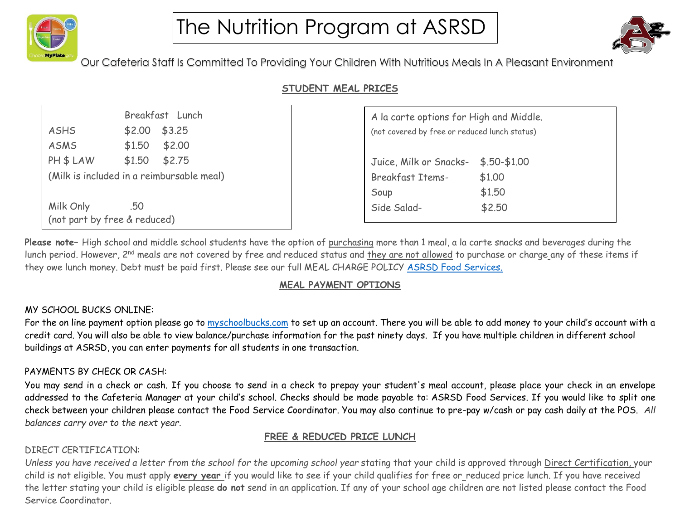



Our Cafeteria Staff Is Committed To Providing Your Children With Nutritious Meals In A Pleasant Environment

# **STUDENT MEAL PRICES**

|                                           |     | Breakfast Lunch |  |
|-------------------------------------------|-----|-----------------|--|
| <b>ASHS</b>                               |     | $$2.00$ \$3.25  |  |
| <b>ASMS</b>                               |     | $$1.50$ \$2.00  |  |
| PH \$ LAW                                 |     | $$1.50$ \$2.75  |  |
| (Milk is included in a reimbursable meal) |     |                 |  |
|                                           |     |                 |  |
| Milk Only                                 | .50 |                 |  |
| (not part by free & reduced)              |     |                 |  |

| A la carte options for High and Middle.       |                |  |
|-----------------------------------------------|----------------|--|
| (not covered by free or reduced lunch status) |                |  |
|                                               |                |  |
| Juice, Milk or Snacks-                        | $$.50 - $1.00$ |  |
| <b>Breakfast Items-</b>                       | \$1.00         |  |
| Soup                                          | \$1.50         |  |
| Side Salad-                                   | \$2.50         |  |
|                                               |                |  |

**Please note–** High school and middle school students have the option of purchasing more than 1 meal, a la carte snacks and beverages during the lunch period. However, 2<sup>nd</sup> meals are not covered by free and reduced status and <u>they are not allowed</u> to purchase or charge\_any of these items if they owe lunch money. Debt must be paid first. Please see our full MEAL CHARGE POLICY [ASRSD Food Services.](https://www.asrsd.org/departments/food-services/)

# **MEAL PAYMENT OPTIONS**

## MY SCHOOL BUCKS ONLINE:

For the on line payment option please go to [myschoolbucks.com](https://www.myschoolbucks.com/ver2/getmain?requestAction=home) to set up an account. There you will be able to add money to your child's account with a credit card. You will also be able to view balance/purchase information for the past ninety days. If you have multiple children in different school buildings at ASRSD, you can enter payments for all students in one transaction.

### PAYMENTS BY CHECK OR CASH:

You may send in a check or cash. If you choose to send in a check to prepay your student's meal account, please place your check in an envelope addressed to the Cafeteria Manager at your child's school. Checks should be made payable to: ASRSD Food Services. If you would like to split one check between your children please contact the Food Service Coordinator. You may also continue to pre-pay w/cash or pay cash daily at the POS. *All balances carry over to the next year.*

## **FREE & REDUCED PRICE LUNCH**

# DIRECT CERTIFICATION:

Unless you have received a letter from the school for the upcoming school year stating that your child is approved through Direct Certification, your child is not eligible. You must apply **every year** if you would like to see if your child qualifies for free or reduced price lunch. If you have received the letter stating your child is eligible please **do not** send in an application. If any of your school age children are not listed please contact the Food Service Coordinator.